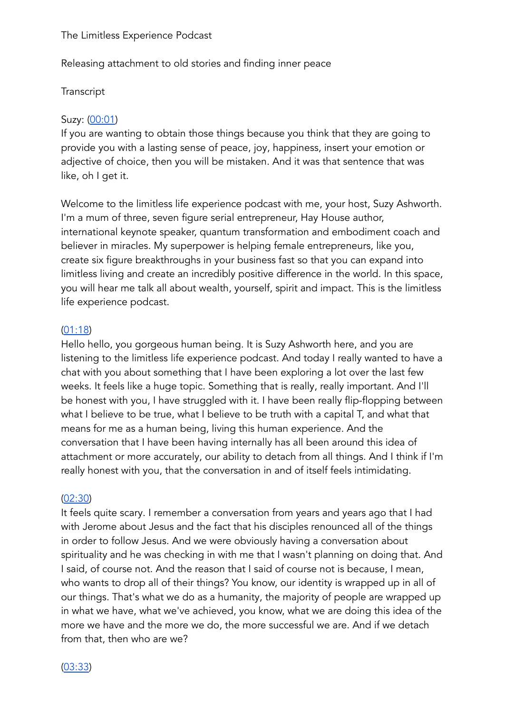The Limitless Experience Podcast

Releasing attachment to old stories and finding inner peace

## Transcript

### Suzy: (00:01)

If you are wanting to obtain those things because you think that they are going to provide you with a lasting sense of peace, joy, happiness, insert your emotion or adjective of choice, then you will be mistaken. And it was that sentence that was like, oh I get it.

Welcome to the limitless life experience podcast with me, your host, Suzy Ashworth. I'm a mum of three, seven figure serial entrepreneur, Hay House author, international keynote speaker, quantum transformation and embodiment coach and believer in miracles. My superpower is helping female entrepreneurs, like you, create six figure breakthroughs in your business fast so that you can expand into limitless living and create an incredibly positive difference in the world. In this space, you will hear me talk all about wealth, yourself, spirit and impact. This is the limitless life experience podcast.

### $(01:18)$

Hello hello, you gorgeous human being. It is Suzy Ashworth here, and you are listening to the limitless life experience podcast. And today I really wanted to have a chat with you about something that I have been exploring a lot over the last few weeks. It feels like a huge topic. Something that is really, really important. And I'll be honest with you, I have struggled with it. I have been really flip-flopping between what I believe to be true, what I believe to be truth with a capital T, and what that means for me as a human being, living this human experience. And the conversation that I have been having internally has all been around this idea of attachment or more accurately, our ability to detach from all things. And I think if I'm really honest with you, that the conversation in and of itself feels intimidating.

#### $(02:30)$

It feels quite scary. I remember a conversation from years and years ago that I had with Jerome about Jesus and the fact that his disciples renounced all of the things in order to follow Jesus. And we were obviously having a conversation about spirituality and he was checking in with me that I wasn't planning on doing that. And I said, of course not. And the reason that I said of course not is because, I mean, who wants to drop all of their things? You know, our identity is wrapped up in all of our things. That's what we do as a humanity, the majority of people are wrapped up in what we have, what we've achieved, you know, what we are doing this idea of the more we have and the more we do, the more successful we are. And if we detach from that, then who are we?

 $(03:33)$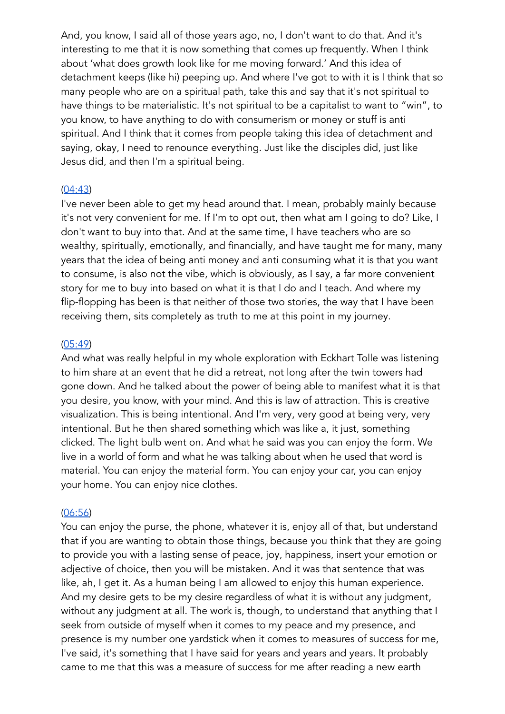And, you know, I said all of those years ago, no, I don't want to do that. And it's interesting to me that it is now something that comes up frequently. When I think about 'what does growth look like for me moving forward.' And this idea of detachment keeps (like hi) peeping up. And where I've got to with it is I think that so many people who are on a spiritual path, take this and say that it's not spiritual to have things to be materialistic. It's not spiritual to be a capitalist to want to "win", to you know, to have anything to do with consumerism or money or stuff is anti spiritual. And I think that it comes from people taking this idea of detachment and saying, okay, I need to renounce everything. Just like the disciples did. iust like Jesus did, and then I'm a spiritual being.

## $(04:43)$

I've never been able to get my head around that. I mean, probably mainly because it's not very convenient for me. If I'm to opt out, then what am I going to do? Like, I don't want to buy into that. And at the same time, I have teachers who are so wealthy, spiritually, emotionally, and financially, and have taught me for many, many years that the idea of being anti money and anti consuming what it is that you want to consume, is also not the vibe, which is obviously, as I say, a far more convenient story for me to buy into based on what it is that I do and I teach. And where my flip-flopping has been is that neither of those two stories, the way that I have been receiving them, sits completely as truth to me at this point in my journey.

### $(05:49)$

And what was really helpful in my whole exploration with Eckhart Tolle was listening to him share at an event that he did a retreat, not long after the twin towers had gone down. And he talked about the power of being able to manifest what it is that you desire, you know, with your mind. And this is law of attraction. This is creative visualization. This is being intentional. And I'm very, very good at being very, very intentional. But he then shared something which was like a, it just, something clicked. The light bulb went on. And what he said was you can enjoy the form. We live in a world of form and what he was talking about when he used that word is material. You can enjoy the material form. You can enjoy your car, you can enjoy your home. You can enjoy nice clothes.

### $(06:56)$

You can enjoy the purse, the phone, whatever it is, enjoy all of that, but understand that if you are wanting to obtain those things, because you think that they are going to provide you with a lasting sense of peace, joy, happiness, insert your emotion or adjective of choice, then you will be mistaken. And it was that sentence that was like, ah, I get it. As a human being I am allowed to enjoy this human experience. And my desire gets to be my desire regardless of what it is without any judgment, without any judgment at all. The work is, though, to understand that anything that I seek from outside of myself when it comes to my peace and my presence, and presence is my number one yardstick when it comes to measures of success for me, I've said, it's something that I have said for years and years and years. It probably came to me that this was a measure of success for me after reading a new earth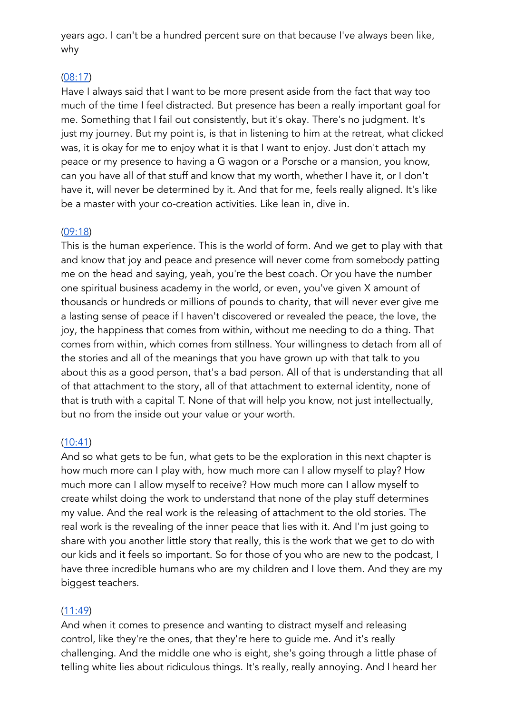years ago. I can't be a hundred percent sure on that because I've always been like, why

# $(08:17)$

Have I always said that I want to be more present aside from the fact that way too much of the time I feel distracted. But presence has been a really important goal for me. Something that I fail out consistently, but it's okay. There's no judgment. It's just my journey. But my point is, is that in listening to him at the retreat, what clicked was, it is okay for me to enjoy what it is that I want to enjoy. Just don't attach my peace or my presence to having a G wagon or a Porsche or a mansion, you know, can you have all of that stuff and know that my worth, whether I have it, or I don't have it, will never be determined by it. And that for me, feels really aligned. It's like be a master with your co-creation activities. Like lean in, dive in.

## $(09:18)$

This is the human experience. This is the world of form. And we get to play with that and know that joy and peace and presence will never come from somebody patting me on the head and saying, yeah, you're the best coach. Or you have the number one spiritual business academy in the world, or even, you've given X amount of thousands or hundreds or millions of pounds to charity, that will never ever give me a lasting sense of peace if I haven't discovered or revealed the peace, the love, the joy, the happiness that comes from within, without me needing to do a thing. That comes from within, which comes from stillness. Your willingness to detach from all of the stories and all of the meanings that you have grown up with that talk to you about this as a good person, that's a bad person. All of that is understanding that all of that attachment to the story, all of that attachment to external identity, none of that is truth with a capital T. None of that will help you know, not just intellectually, but no from the inside out your value or your worth.

# $(10:41)$

And so what gets to be fun, what gets to be the exploration in this next chapter is how much more can I play with, how much more can I allow myself to play? How much more can I allow myself to receive? How much more can I allow myself to create whilst doing the work to understand that none of the play stuff determines my value. And the real work is the releasing of attachment to the old stories. The real work is the revealing of the inner peace that lies with it. And I'm just going to share with you another little story that really, this is the work that we get to do with our kids and it feels so important. So for those of you who are new to the podcast, I have three incredible humans who are my children and I love them. And they are my biggest teachers.

# $(11:49)$

And when it comes to presence and wanting to distract myself and releasing control, like they're the ones, that they're here to quide me. And it's really challenging. And the middle one who is eight, she's going through a little phase of telling white lies about ridiculous things. It's really, really annoying. And I heard her